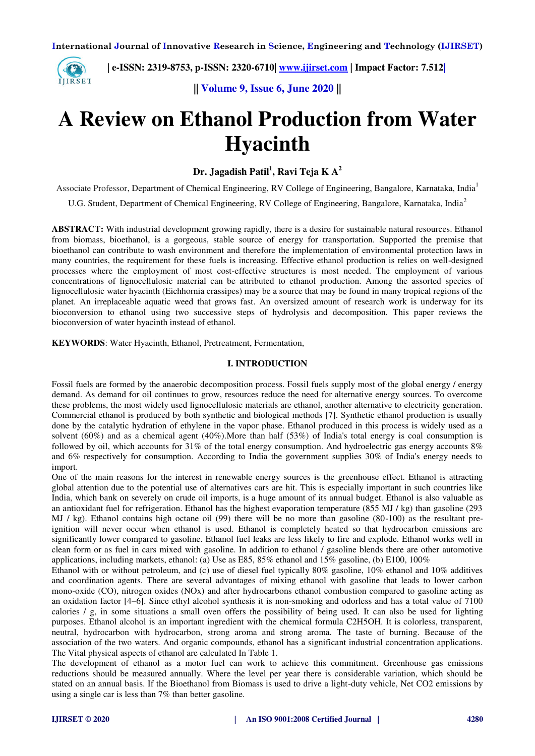

 **| e-ISSN: 2319-8753, p-ISSN: 2320-6710| [www.ijirset.com](http://www.ijirset.com/) | Impact Factor: 7.512|**

**|| Volume 9, Issue 6, June 2020 ||** 

# **A Review on Ethanol Production from Water Hyacinth**

**Dr. Jagadish Patil<sup>1</sup> , Ravi Teja K A<sup>2</sup>**

Associate Professor, Department of Chemical Engineering, RV College of Engineering, Bangalore, Karnataka, India<sup>1</sup>

U.G. Student, Department of Chemical Engineering, RV College of Engineering, Bangalore, Karnataka, India<sup>2</sup>

**ABSTRACT:** With industrial development growing rapidly, there is a desire for sustainable natural resources. Ethanol from biomass, bioethanol, is a gorgeous, stable source of energy for transportation. Supported the premise that bioethanol can contribute to wash environment and therefore the implementation of environmental protection laws in many countries, the requirement for these fuels is increasing. Effective ethanol production is relies on well-designed processes where the employment of most cost-effective structures is most needed. The employment of various concentrations of lignocellulosic material can be attributed to ethanol production. Among the assorted species of lignocellulosic water hyacinth (Eichhornia crassipes) may be a source that may be found in many tropical regions of the planet. An irreplaceable aquatic weed that grows fast. An oversized amount of research work is underway for its bioconversion to ethanol using two successive steps of hydrolysis and decomposition. This paper reviews the bioconversion of water hyacinth instead of ethanol.

**KEYWORDS**: Water Hyacinth, Ethanol, Pretreatment, Fermentation,

# **I. INTRODUCTION**

Fossil fuels are formed by the anaerobic decomposition process. Fossil fuels supply most of the global energy / energy demand. As demand for oil continues to grow, resources reduce the need for alternative energy sources. To overcome these problems, the most widely used lignocellulosic materials are ethanol, another alternative to electricity generation. Commercial ethanol is produced by both synthetic and biological methods [7]. Synthetic ethanol production is usually done by the catalytic hydration of ethylene in the vapor phase. Ethanol produced in this process is widely used as a solvent (60%) and as a chemical agent (40%).More than half (53%) of India's total energy is coal consumption is followed by oil, which accounts for 31% of the total energy consumption. And hydroelectric gas energy accounts 8% and 6% respectively for consumption. According to India the government supplies 30% of India's energy needs to import.

One of the main reasons for the interest in renewable energy sources is the greenhouse effect. Ethanol is attracting global attention due to the potential use of alternatives cars are hit. This is especially important in such countries like India, which bank on severely on crude oil imports, is a huge amount of its annual budget. Ethanol is also valuable as an antioxidant fuel for refrigeration. Ethanol has the highest evaporation temperature (855 MJ / kg) than gasoline (293 MJ / kg). Ethanol contains high octane oil (99) there will be no more than gasoline (80-100) as the resultant preignition will never occur when ethanol is used. Ethanol is completely heated so that hydrocarbon emissions are significantly lower compared to gasoline. Ethanol fuel leaks are less likely to fire and explode. Ethanol works well in clean form or as fuel in cars mixed with gasoline. In addition to ethanol / gasoline blends there are other automotive applications, including markets, ethanol: (a) Use as E85, 85% ethanol and 15% gasoline, (b) E100, 100%

Ethanol with or without petroleum, and (c) use of diesel fuel typically 80% gasoline, 10% ethanol and 10% additives and coordination agents. There are several advantages of mixing ethanol with gasoline that leads to lower carbon mono-oxide (CO), nitrogen oxides (NOx) and after hydrocarbons ethanol combustion compared to gasoline acting as an oxidation factor [4–6]. Since ethyl alcohol synthesis it is non-smoking and odorless and has a total value of 7100 calories / g, in some situations a small oven offers the possibility of being used. It can also be used for lighting purposes. Ethanol alcohol is an important ingredient with the chemical formula C2H5OH. It is colorless, transparent, neutral, hydrocarbon with hydrocarbon, strong aroma and strong aroma. The taste of burning. Because of the association of the two waters. And organic compounds, ethanol has a significant industrial concentration applications. The Vital physical aspects of ethanol are calculated In Table 1.

The development of ethanol as a motor fuel can work to achieve this commitment. Greenhouse gas emissions reductions should be measured annually. Where the level per year there is considerable variation, which should be stated on an annual basis. If the Bioethanol from Biomass is used to drive a light-duty vehicle, Net CO2 emissions by using a single car is less than 7% than better gasoline.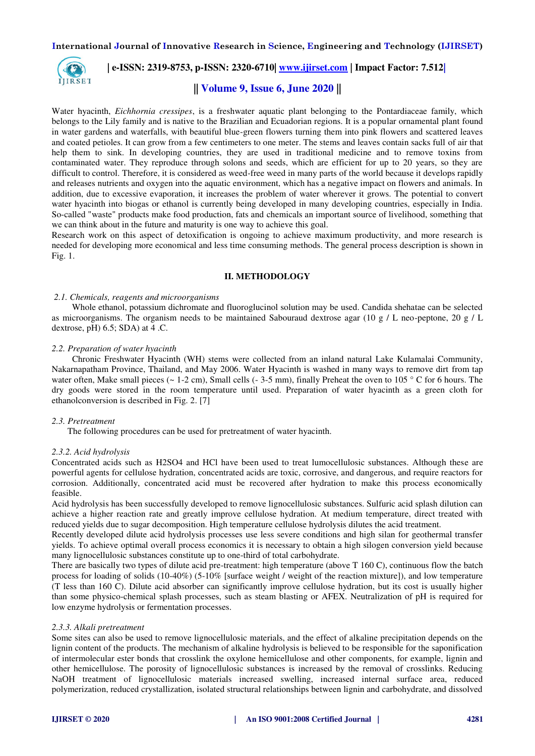

# **| e-ISSN: 2319-8753, p-ISSN: 2320-6710| [www.ijirset.com](http://www.ijirset.com/) | Impact Factor: 7.512|**

# **|| Volume 9, Issue 6, June 2020 ||**

Water hyacinth, *Eichhornia cressipes*, is a freshwater aquatic plant belonging to the Pontardiaceae family, which belongs to the Lily family and is native to the Brazilian and Ecuadorian regions. It is a popular ornamental plant found in water gardens and waterfalls, with beautiful blue-green flowers turning them into pink flowers and scattered leaves and coated petioles. It can grow from a few centimeters to one meter. The stems and leaves contain sacks full of air that help them to sink. In developing countries, they are used in traditional medicine and to remove toxins from contaminated water. They reproduce through solons and seeds, which are efficient for up to 20 years, so they are difficult to control. Therefore, it is considered as weed-free weed in many parts of the world because it develops rapidly and releases nutrients and oxygen into the aquatic environment, which has a negative impact on flowers and animals. In addition, due to excessive evaporation, it increases the problem of water wherever it grows. The potential to convert water hyacinth into biogas or ethanol is currently being developed in many developing countries, especially in India. So-called "waste" products make food production, fats and chemicals an important source of livelihood, something that we can think about in the future and maturity is one way to achieve this goal.

Research work on this aspect of detoxification is ongoing to achieve maximum productivity, and more research is needed for developing more economical and less time consuming methods. The general process description is shown in Fig. 1.

#### **II. METHODOLOGY**

#### *2.1. Chemicals, reagents and microorganisms*

 Whole ethanol, potassium dichromate and fluoroglucinol solution may be used. Candida shehatae can be selected as microorganisms. The organism needs to be maintained Sabouraud dextrose agar (10 g / L neo-peptone, 20 g / L dextrose, pH) 6.5; SDA) at 4 .C.

#### *2.2. Preparation of water hyacinth*

 Chronic Freshwater Hyacinth (WH) stems were collected from an inland natural Lake Kulamalai Community, Nakarnapatham Province, Thailand, and May 2006. Water Hyacinth is washed in many ways to remove dirt from tap water often, Make small pieces ( $\sim 1-2$  cm), Small cells ( $-3-5$  mm), finally Preheat the oven to 105 ° C for 6 hours. The dry goods were stored in the room temperature until used. Preparation of water hyacinth as a green cloth for ethanolconversion is described in Fig. 2. [7]

#### *2.3. Pretreatment*

The following procedures can be used for pretreatment of water hyacinth.

#### *2.3.2. Acid hydrolysis*

Concentrated acids such as H2SO4 and HCl have been used to treat lumocellulosic substances. Although these are powerful agents for cellulose hydration, concentrated acids are toxic, corrosive, and dangerous, and require reactors for corrosion. Additionally, concentrated acid must be recovered after hydration to make this process economically feasible.

Acid hydrolysis has been successfully developed to remove lignocellulosic substances. Sulfuric acid splash dilution can achieve a higher reaction rate and greatly improve cellulose hydration. At medium temperature, direct treated with reduced yields due to sugar decomposition. High temperature cellulose hydrolysis dilutes the acid treatment.

Recently developed dilute acid hydrolysis processes use less severe conditions and high silan for geothermal transfer yields. To achieve optimal overall process economics it is necessary to obtain a high silogen conversion yield because many lignocellulosic substances constitute up to one-third of total carbohydrate.

There are basically two types of dilute acid pre-treatment: high temperature (above T 160 C), continuous flow the batch process for loading of solids (10-40%) (5-10% [surface weight / weight of the reaction mixture]), and low temperature (T less than 160 C). Dilute acid absorber can significantly improve cellulose hydration, but its cost is usually higher than some physico-chemical splash processes, such as steam blasting or AFEX. Neutralization of pH is required for low enzyme hydrolysis or fermentation processes.

#### *2.3.3. Alkali pretreatment*

Some sites can also be used to remove lignocellulosic materials, and the effect of alkaline precipitation depends on the lignin content of the products. The mechanism of alkaline hydrolysis is believed to be responsible for the saponification of intermolecular ester bonds that crosslink the oxylone hemicellulose and other components, for example, lignin and other hemicellulose. The porosity of lignocellulosic substances is increased by the removal of crosslinks. Reducing NaOH treatment of lignocellulosic materials increased swelling, increased internal surface area, reduced polymerization, reduced crystallization, isolated structural relationships between lignin and carbohydrate, and dissolved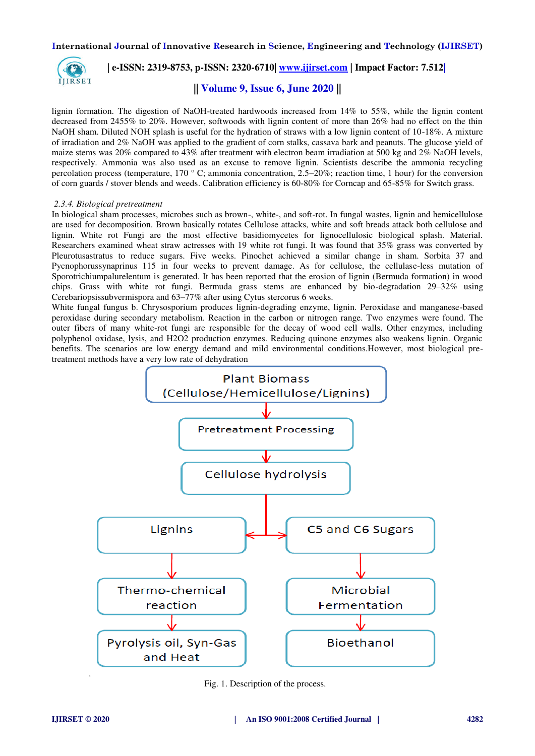

# **| e-ISSN: 2319-8753, p-ISSN: 2320-6710| [www.ijirset.com](http://www.ijirset.com/) | Impact Factor: 7.512|**

# **|| Volume 9, Issue 6, June 2020 ||**

lignin formation. The digestion of NaOH-treated hardwoods increased from 14% to 55%, while the lignin content decreased from 2455% to 20%. However, softwoods with lignin content of more than 26% had no effect on the thin NaOH sham. Diluted NOH splash is useful for the hydration of straws with a low lignin content of 10-18%. A mixture of irradiation and 2% NaOH was applied to the gradient of corn stalks, cassava bark and peanuts. The glucose yield of maize stems was 20% compared to 43% after treatment with electron beam irradiation at 500 kg and 2% NaOH levels, respectively. Ammonia was also used as an excuse to remove lignin. Scientists describe the ammonia recycling percolation process (temperature,  $170^\circ$  C; ammonia concentration, 2.5–20%; reaction time, 1 hour) for the conversion of corn guards / stover blends and weeds. Calibration efficiency is 60-80% for Corncap and 65-85% for Switch grass.

## *2.3.4. Biological pretreatment*

In biological sham processes, microbes such as brown-, white-, and soft-rot. In fungal wastes, lignin and hemicellulose are used for decomposition. Brown basically rotates Cellulose attacks, white and soft breads attack both cellulose and lignin. White rot Fungi are the most effective basidiomycetes for lignocellulosic biological splash. Material. Researchers examined wheat straw actresses with 19 white rot fungi. It was found that 35% grass was converted by Pleurotusastratus to reduce sugars. Five weeks. Pinochet achieved a similar change in sham. Sorbita 37 and Pycnophorussynaprinus 115 in four weeks to prevent damage. As for cellulose, the cellulase-less mutation of Sporotrichiumpalurelentum is generated. It has been reported that the erosion of lignin (Bermuda formation) in wood chips. Grass with white rot fungi. Bermuda grass stems are enhanced by bio-degradation 29–32% using Cerebariopsissubvermispora and 63–77% after using Cytus stercorus 6 weeks.

White fungal fungus b. Chrysosporium produces lignin-degrading enzyme, lignin. Peroxidase and manganese-based peroxidase during secondary metabolism. Reaction in the carbon or nitrogen range. Two enzymes were found. The outer fibers of many white-rot fungi are responsible for the decay of wood cell walls. Other enzymes, including polyphenol oxidase, lysis, and H2O2 production enzymes. Reducing quinone enzymes also weakens lignin. Organic benefits. The scenarios are low energy demand and mild environmental conditions.However, most biological pretreatment methods have a very low rate of dehydration



Fig. 1. Description of the process.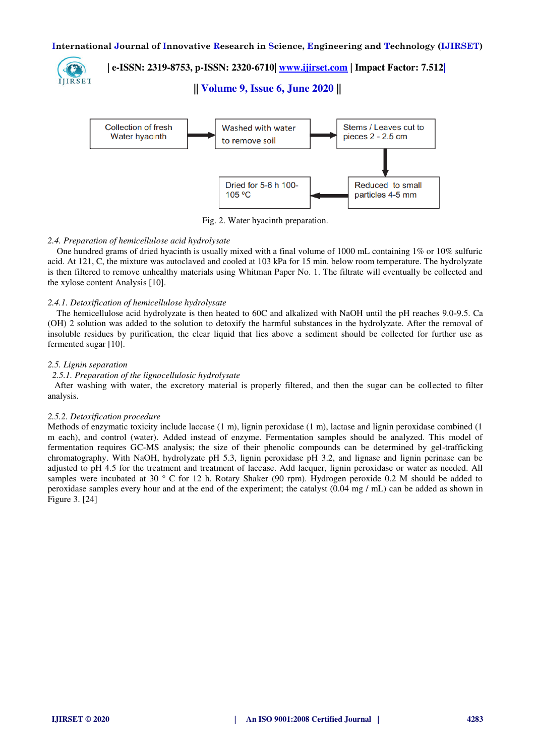

 **| e-ISSN: 2319-8753, p-ISSN: 2320-6710| [www.ijirset.com](http://www.ijirset.com/) | Impact Factor: 7.512|**

**|| Volume 9, Issue 6, June 2020 ||** 



Fig. 2. Water hyacinth preparation.

## *2.4. Preparation of hemicellulose acid hydrolysate*

 One hundred grams of dried hyacinth is usually mixed with a final volume of 1000 mL containing 1% or 10% sulfuric acid. At 121, C, the mixture was autoclaved and cooled at 103 kPa for 15 min. below room temperature. The hydrolyzate is then filtered to remove unhealthy materials using Whitman Paper No. 1. The filtrate will eventually be collected and the xylose content Analysis [10].

## *2.4.1. Detoxification of hemicellulose hydrolysate*

 The hemicellulose acid hydrolyzate is then heated to 60C and alkalized with NaOH until the pH reaches 9.0-9.5. Ca (OH) 2 solution was added to the solution to detoxify the harmful substances in the hydrolyzate. After the removal of insoluble residues by purification, the clear liquid that lies above a sediment should be collected for further use as fermented sugar [10].

## *2.5. Lignin separation*

### *2.5.1. Preparation of the lignocellulosic hydrolysate*

 After washing with water, the excretory material is properly filtered, and then the sugar can be collected to filter analysis.

### *2.5.2. Detoxification procedure*

Methods of enzymatic toxicity include laccase (1 m), lignin peroxidase (1 m), lactase and lignin peroxidase combined (1 m each), and control (water). Added instead of enzyme. Fermentation samples should be analyzed. This model of fermentation requires GC-MS analysis; the size of their phenolic compounds can be determined by gel-trafficking chromatography. With NaOH, hydrolyzate pH 5.3, lignin peroxidase pH 3.2, and lignase and lignin perinase can be adjusted to pH 4.5 for the treatment and treatment of laccase. Add lacquer, lignin peroxidase or water as needed. All samples were incubated at 30  $\degree$  C for 12 h. Rotary Shaker (90 rpm). Hydrogen peroxide 0.2 M should be added to peroxidase samples every hour and at the end of the experiment; the catalyst (0.04 mg / mL) can be added as shown in Figure 3. [24]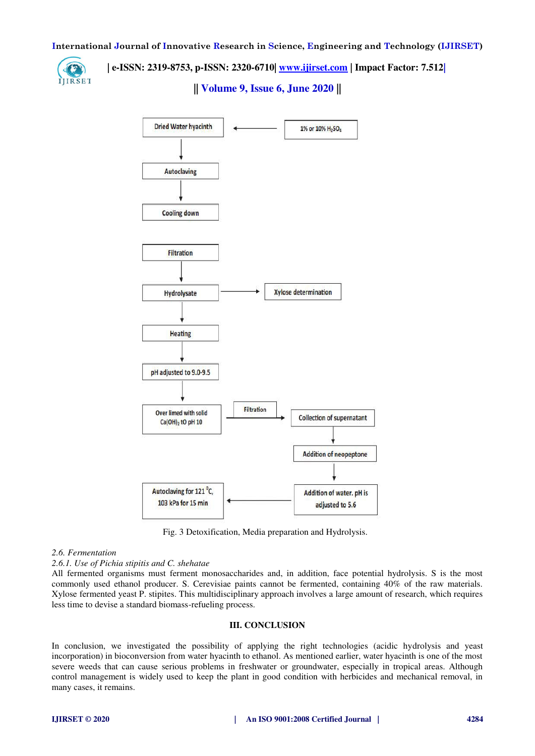

 **| e-ISSN: 2319-8753, p-ISSN: 2320-6710| [www.ijirset.com](http://www.ijirset.com/) | Impact Factor: 7.512|**

**|| Volume 9, Issue 6, June 2020 ||** 



Fig. 3 Detoxification, Media preparation and Hydrolysis.

#### *2.6. Fermentation*

*2.6.1. Use of Pichia stipitis and C. shehatae* 

All fermented organisms must ferment monosaccharides and, in addition, face potential hydrolysis. S is the most commonly used ethanol producer. S. Cerevisiae paints cannot be fermented, containing 40% of the raw materials. Xylose fermented yeast P. stipites. This multidisciplinary approach involves a large amount of research, which requires less time to devise a standard biomass-refueling process.

#### **III. CONCLUSION**

In conclusion, we investigated the possibility of applying the right technologies (acidic hydrolysis and yeast incorporation) in bioconversion from water hyacinth to ethanol. As mentioned earlier, water hyacinth is one of the most severe weeds that can cause serious problems in freshwater or groundwater, especially in tropical areas. Although control management is widely used to keep the plant in good condition with herbicides and mechanical removal, in many cases, it remains.